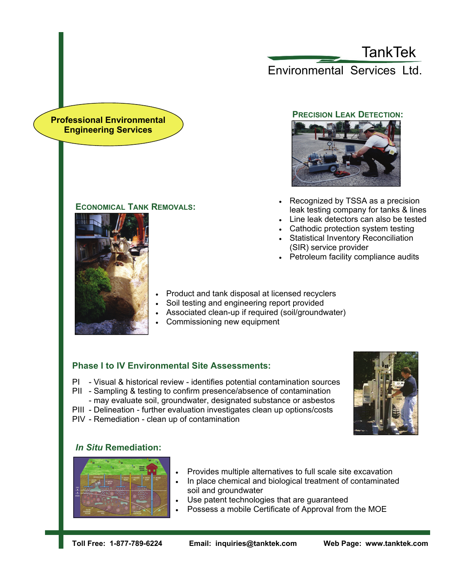# **TankTek**

Environmental Services Ltd.

## **Professional Environmental Engineering Services**



### **ECONOMICAL TANK REMOVALS:**



- Recognized by TSSA as a precision leak testing company for tanks & lines
- Line leak detectors can also be tested
- Cathodic protection system testing
- Statistical Inventory Reconciliation (SIR) service provider
- Petroleum facility compliance audits
- Product and tank disposal at licensed recyclers
- Soil testing and engineering report provided
- Associated clean-up if required (soil/groundwater)
- Commissioning new equipment

# **Phase I to IV Environmental Site Assessments:**

- PI Visual & historical review identifies potential contamination sources
- PII Sampling & testing to confirm presence/absence of contamination
- may evaluate soil, groundwater, designated substance or asbestos
- PIII Delineation further evaluation investigates clean up options/costs
- PIV Remediation clean up of contamination



# *In Situ* **Remediation:**



- Provides multiple alternatives to full scale site excavation
- In place chemical and biological treatment of contaminated soil and groundwater
- Use patent technologies that are guaranteed
- Possess a mobile Certificate of Approval from the MOE